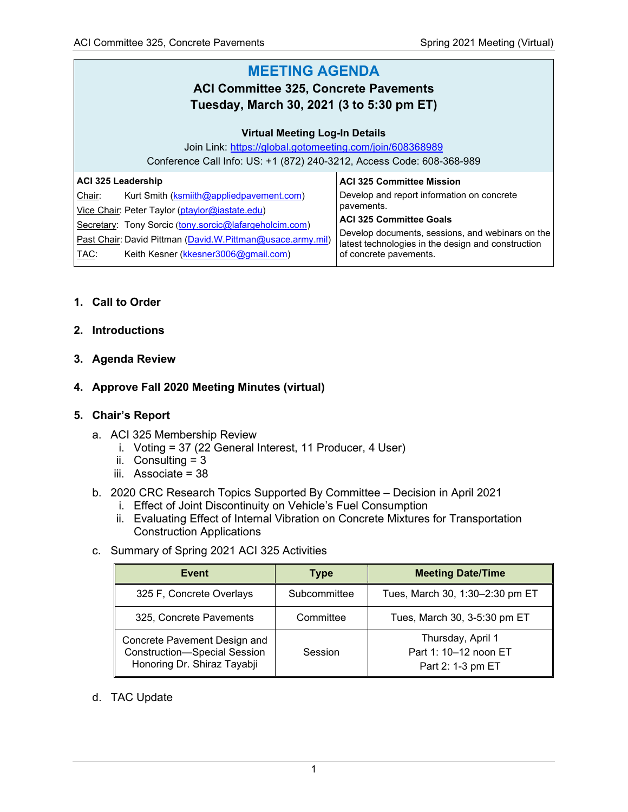#### **MEETING AGENDA ACI Committee 325, Concrete Pavements Tuesday, March 30, 2021 (3 to 5:30 pm ET) Virtual Meeting Log-In Details** Join Link: <https://global.gotomeeting.com/join/608368989> Conference Call Info: US: +1 (872) 240-3212, Access Code: 608-368-989 **ACI 325 Leadership** Chair: Kurt Smith (**ksmiith@appliedpavement.com**) Vice Chair: Peter Taylor [\(ptaylor@iastate.edu\)](mailto:ptaylor@iastate.edu) Secretary: Tony Sorcic ([tony.sorcic@lafargeholcim.com\)](mailto:tony.sorcic@lafargeholcim.com) Past Chair: David Pittman [\(David.W.Pittman@usace.army.mil\)](mailto:David.W.Pittman@usace.army.mil) TAC: Keith Kesner [\(kkesner3006@gmail.com\)](mailto:kkesner3006@gmail.com) **ACI 325 Committee Mission** Develop and report information on concrete pavements. **ACI 325 Committee Goals** Develop documents, sessions, and webinars on the latest technologies in the design and construction of concrete pavements.

#### **1. Call to Order**

#### **2. Introductions**

**3. Agenda Review**

#### **4. Approve Fall 2020 Meeting Minutes (virtual)**

#### **5. Chair's Report**

- a. ACI 325 Membership Review
	- i. Voting = 37 (22 General Interest, 11 Producer, 4 User)
	- ii. Consulting  $= 3$
	- iii. Associate = 38

# b. 2020 CRC Research Topics Supported By Committee – Decision in April 2021

- i. Effect of Joint Discontinuity on Vehicle's Fuel Consumption
- ii. Evaluating Effect of Internal Vibration on Concrete Mixtures for Transportation Construction Applications
- c. Summary of Spring 2021 ACI 325 Activities

| Event                                                                                              | <b>Type</b>  | <b>Meeting Date/Time</b>                                        |  |
|----------------------------------------------------------------------------------------------------|--------------|-----------------------------------------------------------------|--|
| 325 F, Concrete Overlays                                                                           | Subcommittee | Tues, March 30, 1:30-2:30 pm ET                                 |  |
| 325, Concrete Pavements                                                                            | Committee    | Tues, March 30, 3-5:30 pm ET                                    |  |
| Concrete Pavement Design and<br><b>Construction-Special Session</b><br>Honoring Dr. Shiraz Tayabji | Session      | Thursday, April 1<br>Part 1: 10-12 noon ET<br>Part 2: 1-3 pm ET |  |

#### d. TAC Update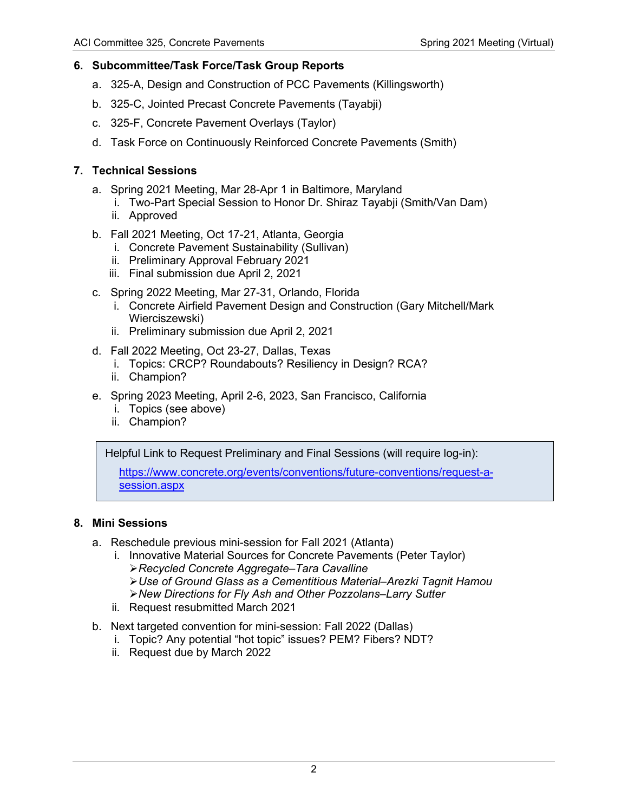### **6. Subcommittee/Task Force/Task Group Reports**

- a. 325-A, Design and Construction of PCC Pavements (Killingsworth)
- b. 325-C, Jointed Precast Concrete Pavements (Tayabji)
- c. 325-F, Concrete Pavement Overlays (Taylor)
- d. Task Force on Continuously Reinforced Concrete Pavements (Smith)

### **7. Technical Sessions**

- a. Spring 2021 Meeting, Mar 28-Apr 1 in Baltimore, Maryland
	- i. Two-Part Special Session to Honor Dr. Shiraz Tayabji (Smith/Van Dam)
	- ii. Approved
- b. Fall 2021 Meeting, Oct 17-21, Atlanta, Georgia
	- i. Concrete Pavement Sustainability (Sullivan)
	- ii. Preliminary Approval February 2021
	- iii. Final submission due April 2, 2021
- c. Spring 2022 Meeting, Mar 27-31, Orlando, Florida
	- i. Concrete Airfield Pavement Design and Construction (Gary Mitchell/Mark Wierciszewski)
	- ii. Preliminary submission due April 2, 2021
- d. Fall 2022 Meeting, Oct 23-27, Dallas, Texas
	- i. Topics: CRCP? Roundabouts? Resiliency in Design? RCA?
	- ii. Champion?
- e. Spring 2023 Meeting, April 2-6, 2023, San Francisco, California
	- i. Topics (see above)
	- ii. Champion?

Helpful Link to Request Preliminary and Final Sessions (will require log-in):

[https://www.concrete.org/events/conventions/future-conventions/request-a](https://www.concrete.org/events/conventions/future-conventions/request-a-session.aspx)[session.aspx](https://www.concrete.org/events/conventions/future-conventions/request-a-session.aspx)

# **8. Mini Sessions**

- a. Reschedule previous mini-session for Fall 2021 (Atlanta)
	- i. Innovative Material Sources for Concrete Pavements (Peter Taylor) *Recycled Concrete Aggregate–Tara Cavalline Use of Ground Glass as a Cementitious Material–Arezki Tagnit Hamou New Directions for Fly Ash and Other Pozzolans–Larry Sutter*
	- ii. Request resubmitted March 2021
- b. Next targeted convention for mini-session: Fall 2022 (Dallas)
	- i. Topic? Any potential "hot topic" issues? PEM? Fibers? NDT?
	- ii. Request due by March 2022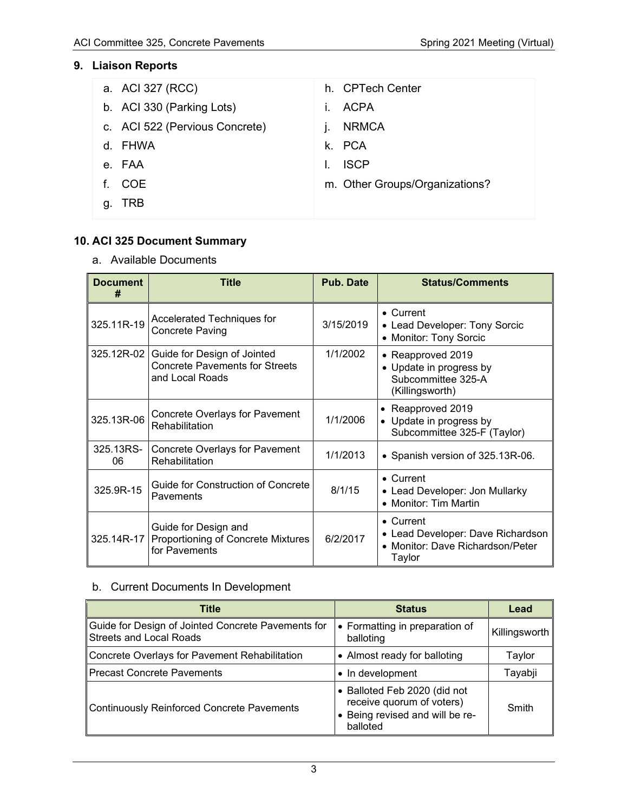# **9. Liaison Reports**

|    | a. ACI 327 (RCC)               | h. CPTech Center               |
|----|--------------------------------|--------------------------------|
|    | b. ACI 330 (Parking Lots)      | <b>ACPA</b><br>L.              |
|    | c. ACI 522 (Pervious Concrete) | <b>NRMCA</b>                   |
|    | d. FHWA                        | k. PCA                         |
|    | e. FAA                         | <b>ISCP</b>                    |
| f. | COE                            | m. Other Groups/Organizations? |
| g. | <b>TRB</b>                     |                                |

# **10. ACI 325 Document Summary**

a. Available Documents

| <b>Document</b><br>#                                                                      | <b>Title</b>                                                                            | <b>Pub. Date</b>                                                               | <b>Status/Comments</b>                                                                               |  |
|-------------------------------------------------------------------------------------------|-----------------------------------------------------------------------------------------|--------------------------------------------------------------------------------|------------------------------------------------------------------------------------------------------|--|
| 325.11R-19                                                                                | Accelerated Techniques for<br><b>Concrete Paving</b>                                    |                                                                                | $\bullet$ Current<br>• Lead Developer: Tony Sorcic<br>• Monitor: Tony Sorcic                         |  |
| 325.12R-02                                                                                | Guide for Design of Jointed<br><b>Concrete Pavements for Streets</b><br>and Local Roads |                                                                                | • Reapproved 2019<br>• Update in progress by<br>Subcommittee 325-A<br>(Killingsworth)                |  |
| <b>Concrete Overlays for Pavement</b><br>325.13R-06<br>Rehabilitation                     |                                                                                         | 1/1/2006                                                                       | Reapproved 2019<br>Update in progress by<br>Subcommittee 325-F (Taylor)                              |  |
| 325.13RS-<br>06                                                                           | <b>Concrete Overlays for Pavement</b><br>Rehabilitation                                 | 1/1/2013                                                                       | • Spanish version of 325.13R-06.                                                                     |  |
| Guide for Construction of Concrete<br>325.9R-15<br>Pavements                              |                                                                                         | • Current<br>8/1/15<br>• Lead Developer: Jon Mullarky<br>• Monitor: Tim Martin |                                                                                                      |  |
| Guide for Design and<br>Proportioning of Concrete Mixtures<br>325.14R-17<br>for Pavements |                                                                                         | 6/2/2017                                                                       | $\bullet$ Current<br>• Lead Developer: Dave Richardson<br>• Monitor: Dave Richardson/Peter<br>Taylor |  |

# b. Current Documents In Development

| Title                                                                                | <b>Status</b>                                                                                            | Lead          |
|--------------------------------------------------------------------------------------|----------------------------------------------------------------------------------------------------------|---------------|
| Guide for Design of Jointed Concrete Pavements for<br><b>Streets and Local Roads</b> | • Formatting in preparation of<br>balloting                                                              | Killingsworth |
| Concrete Overlays for Pavement Rehabilitation                                        | • Almost ready for balloting                                                                             | Taylor        |
| <b>Precast Concrete Pavements</b>                                                    | • In development                                                                                         | Tayabji       |
| <b>Continuously Reinforced Concrete Pavements</b>                                    | • Balloted Feb 2020 (did not<br>receive quorum of voters)<br>• Being revised and will be re-<br>balloted | Smith         |